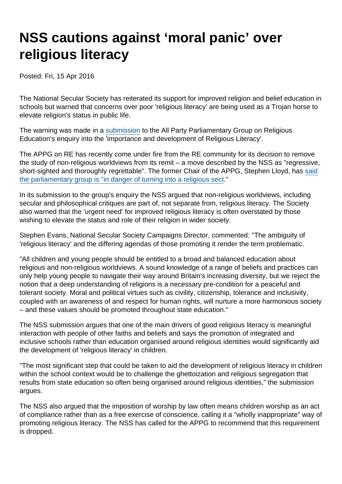## NSS cautions against 'moral panic' over religious literacy

Posted: Fri, 15 Apr 2016

The National Secular Society has reiterated its support for improved religion and belief education in schools but warned that concerns over poor 'religious literacy' are being used as a Trojan horse to elevate religion's status in public life.

The warning was made in a [submission](https://www.secularism.org.uk/uploads/nss-response-to-appg-on-re-on-religious-literacy-april-2016.pdf) to the All Party Parliamentary Group on Religious Education's enquiry into the 'importance and development of Religious Literacy'.

The APPG on RE has recently come under fire from the RE community for its decision to remove the study of non-religious worldviews from its remit – a move described by the NSS as "regressive, short-sighted and thoroughly regrettable". The former Chair of the APPG, Stephen Lloyd, has [said](https://www.secularism.org.uk/news/2016/04/former-chair-of-parliamentary-re-group-says-its-turning-into-a-religious-sect) [the parliamentary group is "in danger of turning into a religious sect.](https://www.secularism.org.uk/news/2016/04/former-chair-of-parliamentary-re-group-says-its-turning-into-a-religious-sect)"

In its submission to the group's enquiry the NSS argued that non-religious worldviews, including secular and philosophical critiques are part of, not separate from, religious literacy. The Society also warned that the 'urgent need' for improved religious literacy is often overstated by those wishing to elevate the status and role of their religion in wider society.

Stephen Evans, National Secular Society Campaigns Director, commented: "The ambiguity of 'religious literacy' and the differing agendas of those promoting it render the term problematic.

"All children and young people should be entitled to a broad and balanced education about religious and non-religious worldviews. A sound knowledge of a range of beliefs and practices can only help young people to navigate their way around Britain's increasing diversity, but we reject the notion that a deep understanding of religions is a necessary pre-condition for a peaceful and tolerant society. Moral and political virtues such as civility, citizenship, tolerance and inclusivity, coupled with an awareness of and respect for human rights, will nurture a more harmonious society – and these values should be promoted throughout state education."

The NSS submission argues that one of the main drivers of good religious literacy is meaningful interaction with people of other faiths and beliefs and says the promotion of integrated and inclusive schools rather than education organised around religious identities would significantly aid the development of 'religious literacy' in children.

"The most significant step that could be taken to aid the development of religious literacy in children within the school context would be to challenge the ghettoization and religious segregation that results from state education so often being organised around religious identities," the submission argues.

The NSS also argued that the imposition of worship by law often means children worship as an act of compliance rather than as a free exercise of conscience, calling it a "wholly inappropriate" way of promoting religious literacy. The NSS has called for the APPG to recommend that this requirement is dropped.